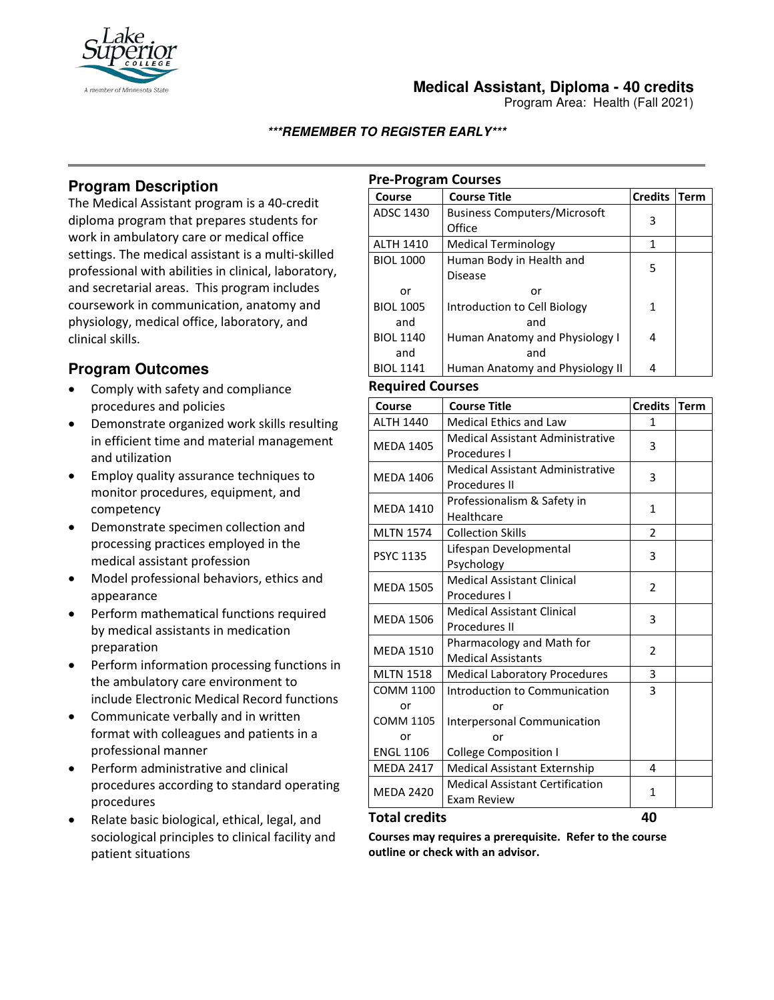

## **Medical Assistant, Diploma - 40 credits**

Program Area: Health (Fall 2021)

### **\*\*\*REMEMBER TO REGISTER EARLY\*\*\***

# **Program Description**

The Medical Assistant program is a 40-credit diploma program that prepares students for work in ambulatory care or medical office settings. The medical assistant is a multi-skilled professional with abilities in clinical, laboratory, and secretarial areas. This program includes coursework in communication, anatomy and physiology, medical office, laboratory, and clinical skills.

# **Program Outcomes**

- Comply with safety and compliance procedures and policies
- Demonstrate organized work skills resulting in efficient time and material management and utilization
- Employ quality assurance techniques to monitor procedures, equipment, and competency
- Demonstrate specimen collection and processing practices employed in the medical assistant profession
- Model professional behaviors, ethics and appearance
- Perform mathematical functions required by medical assistants in medication preparation
- Perform information processing functions in the ambulatory care environment to include Electronic Medical Record functions
- Communicate verbally and in written format with colleagues and patients in a professional manner
- Perform administrative and clinical procedures according to standard operating procedures
- Relate basic biological, ethical, legal, and sociological principles to clinical facility and patient situations

## **Pre-Program Courses**

| Course           | <b>Course Title</b>                           | <b>Credits</b> | <b>Term</b> |
|------------------|-----------------------------------------------|----------------|-------------|
| ADSC 1430        | <b>Business Computers/Microsoft</b><br>Office | 3              |             |
| <b>ALTH 1410</b> | Medical Terminology                           |                |             |
| <b>BIOL 1000</b> | Human Body in Health and<br><b>Disease</b>    | 5              |             |
| or               | or                                            |                |             |
| <b>BIOL 1005</b> | Introduction to Cell Biology                  | 1              |             |
| and              | and                                           |                |             |
| <b>BIOL 1140</b> | Human Anatomy and Physiology I                | 4              |             |
| and              | and                                           |                |             |
| <b>BIOL 1141</b> | Human Anatomy and Physiology II               | 4              |             |

### **Required Courses**

| Course                                     | <b>Course Title</b>                                                | <b>Credits</b> | <b>Term</b> |
|--------------------------------------------|--------------------------------------------------------------------|----------------|-------------|
| <b>ALTH 1440</b>                           | <b>Medical Ethics and Law</b>                                      | 1              |             |
| <b>MEDA 1405</b>                           | Medical Assistant Administrative<br>Procedures I                   | 3              |             |
| <b>MEDA 1406</b>                           | Medical Assistant Administrative<br>Procedures II                  | 3              |             |
| <b>MEDA 1410</b>                           | Professionalism & Safety in<br>Healthcare                          | $\mathbf{1}$   |             |
| <b>MLTN 1574</b>                           | <b>Collection Skills</b>                                           | $\overline{2}$ |             |
| PSYC 1135                                  | Lifespan Developmental<br>Psychology                               | 3              |             |
| <b>MEDA 1505</b>                           | <b>Medical Assistant Clinical</b><br>Procedures I                  | $\overline{2}$ |             |
| <b>MEDA 1506</b>                           | <b>Medical Assistant Clinical</b><br>Procedures II                 | 3              |             |
| <b>MEDA 1510</b>                           | Pharmacology and Math for<br><b>Medical Assistants</b>             | $\overline{2}$ |             |
| <b>MLTN 1518</b>                           | <b>Medical Laboratory Procedures</b>                               | 3              |             |
| <b>COMM 1100</b><br>or<br><b>COMM 1105</b> | Introduction to Communication<br>or<br>Interpersonal Communication | 3              |             |
| or                                         | or                                                                 |                |             |
| <b>ENGL 1106</b>                           | <b>College Composition I</b>                                       |                |             |
| <b>MEDA 2417</b>                           | <b>Medical Assistant Externship</b>                                | 4              |             |
| <b>MEDA 2420</b>                           | <b>Medical Assistant Certification</b><br><b>Exam Review</b>       | 1              |             |

#### **Total credits 40**

**Courses may requires a prerequisite. Refer to the course outline or check with an advisor.**